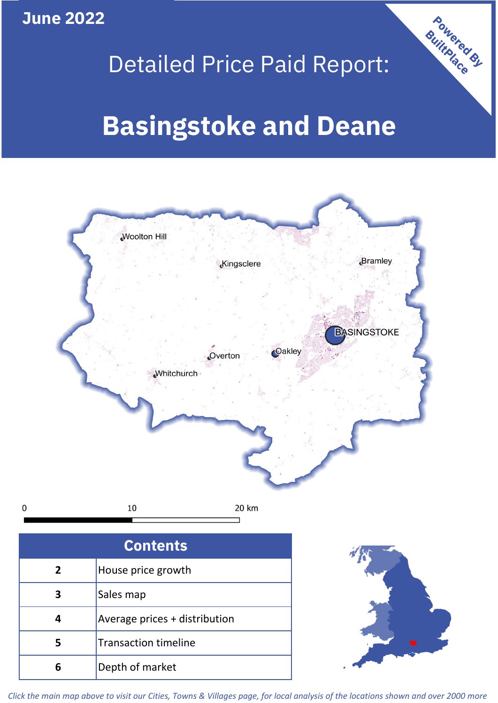**June 2022**

**5**

Transaction timeline

**6** Depth of market

## Detailed Price Paid Report:

Powered By

# **Basingstoke and Deane**



*Click the main map above to visit our Cities, Towns & Villages page, for local analysis of the locations shown and over 2000 more*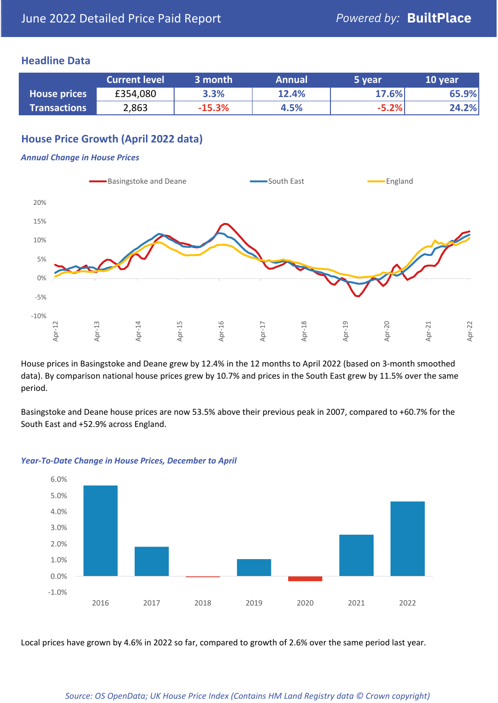#### **Headline Data**

|                     | <b>Current level</b> | 3 month  | <b>Annual</b> | 5 year  | 10 year |
|---------------------|----------------------|----------|---------------|---------|---------|
| <b>House prices</b> | £354,080             | 3.3%     | 12.4%         | 17.6%   | 65.9%   |
| <b>Transactions</b> | 2,863                | $-15.3%$ | 4.5%          | $-5.2%$ | 24.2%   |

#### **House Price Growth (April 2022 data)**

#### *Annual Change in House Prices*



House prices in Basingstoke and Deane grew by 12.4% in the 12 months to April 2022 (based on 3-month smoothed data). By comparison national house prices grew by 10.7% and prices in the South East grew by 11.5% over the same period.

Basingstoke and Deane house prices are now 53.5% above their previous peak in 2007, compared to +60.7% for the South East and +52.9% across England.



#### *Year-To-Date Change in House Prices, December to April*

Local prices have grown by 4.6% in 2022 so far, compared to growth of 2.6% over the same period last year.

#### *Source: OS OpenData; UK House Price Index (Contains HM Land Registry data © Crown copyright)*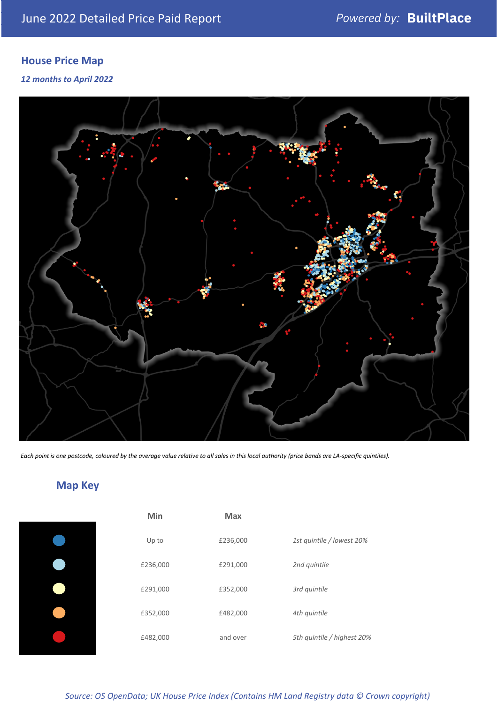### **House Price Map**

#### *12 months to April 2022*



*Each point is one postcode, coloured by the average value relative to all sales in this local authority (price bands are LA-specific quintiles).*

### **Map Key**

| Min      | <b>Max</b> |                            |
|----------|------------|----------------------------|
| Up to    | £236,000   | 1st quintile / lowest 20%  |
| £236,000 | £291,000   | 2nd quintile               |
| £291,000 | £352,000   | 3rd quintile               |
| £352,000 | £482,000   | 4th quintile               |
| £482,000 | and over   | 5th quintile / highest 20% |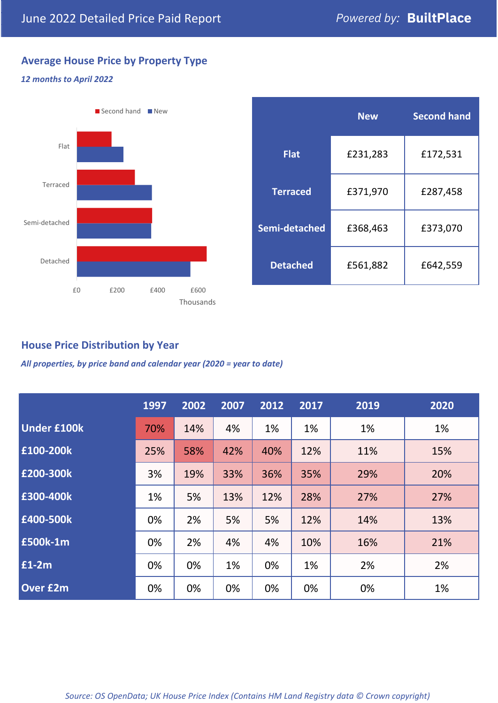#### **Average House Price by Property Type**

#### *12 months to April 2022*



|                 | <b>New</b> | <b>Second hand</b> |  |  |
|-----------------|------------|--------------------|--|--|
| <b>Flat</b>     | £231,283   | £172,531           |  |  |
| <b>Terraced</b> | £371,970   | £287,458           |  |  |
| Semi-detached   | £368,463   | £373,070           |  |  |
| <b>Detached</b> | £561,882   | £642,559           |  |  |

#### **House Price Distribution by Year**

*All properties, by price band and calendar year (2020 = year to date)*

|                    | 1997 | 2002 | 2007 | 2012 | 2017 | 2019 | 2020 |
|--------------------|------|------|------|------|------|------|------|
| <b>Under £100k</b> | 70%  | 14%  | 4%   | 1%   | 1%   | 1%   | 1%   |
| £100-200k          | 25%  | 58%  | 42%  | 40%  | 12%  | 11%  | 15%  |
| E200-300k          | 3%   | 19%  | 33%  | 36%  | 35%  | 29%  | 20%  |
| £300-400k          | 1%   | 5%   | 13%  | 12%  | 28%  | 27%  | 27%  |
| £400-500k          | 0%   | 2%   | 5%   | 5%   | 12%  | 14%  | 13%  |
| <b>£500k-1m</b>    | 0%   | 2%   | 4%   | 4%   | 10%  | 16%  | 21%  |
| £1-2m              | 0%   | 0%   | 1%   | 0%   | 1%   | 2%   | 2%   |
| <b>Over £2m</b>    | 0%   | 0%   | 0%   | 0%   | 0%   | 0%   | 1%   |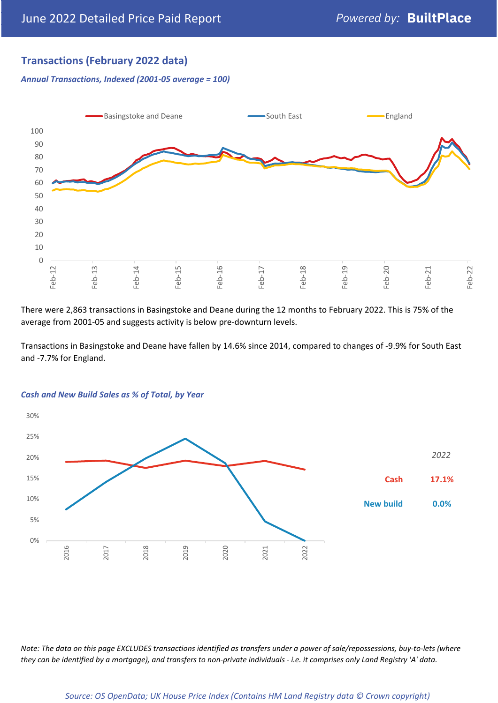#### **Transactions (February 2022 data)**

*Annual Transactions, Indexed (2001-05 average = 100)*



There were 2,863 transactions in Basingstoke and Deane during the 12 months to February 2022. This is 75% of the average from 2001-05 and suggests activity is below pre-downturn levels.

Transactions in Basingstoke and Deane have fallen by 14.6% since 2014, compared to changes of -9.9% for South East and -7.7% for England.



#### *Cash and New Build Sales as % of Total, by Year*

*Note: The data on this page EXCLUDES transactions identified as transfers under a power of sale/repossessions, buy-to-lets (where they can be identified by a mortgage), and transfers to non-private individuals - i.e. it comprises only Land Registry 'A' data.*